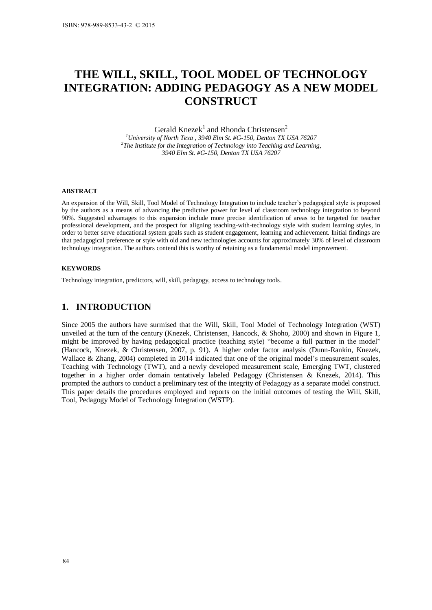# **THE WILL, SKILL, TOOL MODEL OF TECHNOLOGY INTEGRATION: ADDING PEDAGOGY AS A NEW MODEL CONSTRUCT**

Gerald Knezek<sup>1</sup> and Rhonda Christensen<sup>2</sup>

*<sup>1</sup>University of North Texa , 3940 Elm St. #G-150, Denton TX USA 76207*  <sup>2</sup>The Institute for the Integration of Technology into Teaching and Learning, *3940 Elm St. #G-150, Denton TX USA 76207* 

#### **ABSTRACT**

An expansion of the Will, Skill, Tool Model of Technology Integration to include teacher's pedagogical style is proposed by the authors as a means of advancing the predictive power for level of classroom technology integration to beyond 90%. Suggested advantages to this expansion include more precise identification of areas to be targeted for teacher professional development, and the prospect for aligning teaching-with-technology style with student learning styles, in order to better serve educational system goals such as student engagement, learning and achievement. Initial findings are that pedagogical preference or style with old and new technologies accounts for approximately 30% of level of classroom technology integration. The authors contend this is worthy of retaining as a fundamental model improvement.

#### **KEYWORDS**

Technology integration, predictors, will, skill, pedagogy, access to technology tools.

## **1. INTRODUCTION**

Since 2005 the authors have surmised that the Will, Skill, Tool Model of Technology Integration (WST) unveiled at the turn of the century (Knezek, Christensen, Hancock, & Shoho, 2000) and shown in Figure 1, might be improved by having pedagogical practice (teaching style) "become a full partner in the model" (Hancock, Knezek, & Christensen, 2007, p. 91). A higher order factor analysis (Dunn-Rankin, Knezek, Wallace & Zhang, 2004) completed in 2014 indicated that one of the original model's measurement scales, Teaching with Technology (TWT), and a newly developed measurement scale, Emerging TWT, clustered together in a higher order domain tentatively labeled Pedagogy (Christensen & Knezek, 2014). This prompted the authors to conduct a preliminary test of the integrity of Pedagogy as a separate model construct. This paper details the procedures employed and reports on the initial outcomes of testing the Will, Skill, Tool, Pedagogy Model of Technology Integration (WSTP). ISBN: 978-989-8533-43-2 © 2015<br> **THE WILL, SK**<br> **INTEGRATION:** 4<br>
<sup>1</sup>University<br>
<sup>2</sup>The Institute<br>
<sup>2</sup>The Institute<br>
ABSTRACT<br>
An expansion of the Will, Skill, Too<br>
<sup>1</sup>University<br>
<sup>2</sup>The Institute<br>
ABSTRACT<br>
An expansion o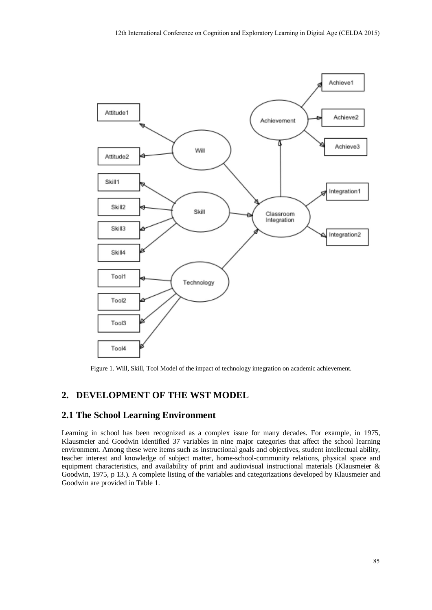

Figure 1. Will, Skill, Tool Model of the impact of technology integration on academic achievement.

## **2. DEVELOPMENT OF THE WST MODEL**

#### **2.1 The School Learning Environment**

Learning in school has been recognized as a complex issue for many decades. For example, in 1975, Klausmeier and Goodwin identified 37 variables in nine major categories that affect the school learning environment. Among these were items such as instructional goals and objectives, student intellectual ability, teacher interest and knowledge of subject matter, home-school-community relations, physical space and equipment characteristics, and availability of print and audiovisual instructional materials (Klausmeier & Goodwin, 1975, p 13.). A complete listing of the variables and categorizations developed by Klausmeier and Goodwin are provided in Table 1.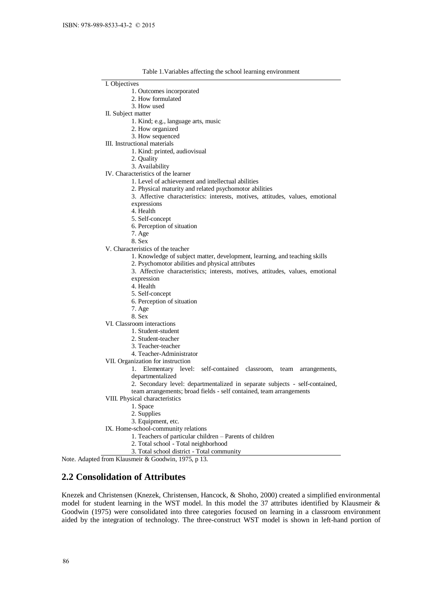| ISBN: 978-989-8533-43-2 © 2015                                                                                                                                                                                                                                                                         |
|--------------------------------------------------------------------------------------------------------------------------------------------------------------------------------------------------------------------------------------------------------------------------------------------------------|
|                                                                                                                                                                                                                                                                                                        |
| Table 1. Variables affecting the school learning environment                                                                                                                                                                                                                                           |
| I. Objectives                                                                                                                                                                                                                                                                                          |
| 1. Outcomes incorporated<br>2. How formulated                                                                                                                                                                                                                                                          |
| 3. How used                                                                                                                                                                                                                                                                                            |
| II. Subject matter                                                                                                                                                                                                                                                                                     |
| 1. Kind; e.g., language arts, music                                                                                                                                                                                                                                                                    |
| 2. How organized                                                                                                                                                                                                                                                                                       |
| 3. How sequenced<br>III. Instructional materials                                                                                                                                                                                                                                                       |
| 1. Kind: printed, audiovisual                                                                                                                                                                                                                                                                          |
| 2. Quality                                                                                                                                                                                                                                                                                             |
| 3. Availability                                                                                                                                                                                                                                                                                        |
| IV. Characteristics of the learner                                                                                                                                                                                                                                                                     |
| 1. Level of achievement and intellectual abilities<br>2. Physical maturity and related psychomotor abilities                                                                                                                                                                                           |
| 3. Affective characteristics: interests, motives, attitudes, values, emotional                                                                                                                                                                                                                         |
| expressions                                                                                                                                                                                                                                                                                            |
| 4. Health                                                                                                                                                                                                                                                                                              |
| 5. Self-concept                                                                                                                                                                                                                                                                                        |
| 6. Perception of situation<br>7. Age                                                                                                                                                                                                                                                                   |
| 8. Sex                                                                                                                                                                                                                                                                                                 |
| V. Characteristics of the teacher                                                                                                                                                                                                                                                                      |
| 1. Knowledge of subject matter, development, learning, and teaching skills                                                                                                                                                                                                                             |
| 2. Psychomotor abilities and physical attributes                                                                                                                                                                                                                                                       |
| 3. Affective characteristics; interests, motives, attitudes, values, emotional<br>expression                                                                                                                                                                                                           |
| 4. Health                                                                                                                                                                                                                                                                                              |
| 5. Self-concept                                                                                                                                                                                                                                                                                        |
| 6. Perception of situation                                                                                                                                                                                                                                                                             |
| 7. Age                                                                                                                                                                                                                                                                                                 |
| 8. Sex<br>VI. Classroom interactions                                                                                                                                                                                                                                                                   |
| 1. Student-student                                                                                                                                                                                                                                                                                     |
| 2. Student-teacher                                                                                                                                                                                                                                                                                     |
| 3. Teacher-teacher                                                                                                                                                                                                                                                                                     |
| 4. Teacher-Administrator                                                                                                                                                                                                                                                                               |
| VII. Organization for instruction<br>Elementary level: self-contained classroom,<br>1.                                                                                                                                                                                                                 |
| team arrangements,<br>departmentalized                                                                                                                                                                                                                                                                 |
| 2. Secondary level: departmentalized in separate subjects - self-contained,                                                                                                                                                                                                                            |
| team arrangements; broad fields - self contained, team arrangements                                                                                                                                                                                                                                    |
| VIII. Physical characteristics                                                                                                                                                                                                                                                                         |
| 1. Space<br>2. Supplies                                                                                                                                                                                                                                                                                |
| 3. Equipment, etc.                                                                                                                                                                                                                                                                                     |
| IX. Home-school-community relations                                                                                                                                                                                                                                                                    |
| 1. Teachers of particular children – Parents of children                                                                                                                                                                                                                                               |
| 2. Total school - Total neighborhood                                                                                                                                                                                                                                                                   |
| 3. Total school district - Total community                                                                                                                                                                                                                                                             |
| Note. Adapted from Klausmeir & Goodwin, 1975, p 13.                                                                                                                                                                                                                                                    |
| <b>2.2 Consolidation of Attributes</b>                                                                                                                                                                                                                                                                 |
|                                                                                                                                                                                                                                                                                                        |
| Knezek and Christensen (Knezek, Christensen, Hancock, & Shoho, 2000) created a simplified environ-<br>model for student learning in the WST model. In this model the 37 attributes identified by Klau<br>Goodwin (1975) were consolidated into three categories focused on learning in a classroom env |
| aided by the integration of technology. The three-construct WST model is shown in left-hand p                                                                                                                                                                                                          |
|                                                                                                                                                                                                                                                                                                        |
|                                                                                                                                                                                                                                                                                                        |
|                                                                                                                                                                                                                                                                                                        |
| 86                                                                                                                                                                                                                                                                                                     |
|                                                                                                                                                                                                                                                                                                        |

# **2.2 Consolidation of Attributes**

Knezek and Christensen (Knezek, Christensen, Hancock, & Shoho, 2000) created a simplified environmental model for student learning in the WST model. In this model the 37 attributes identified by Klausmeir & Goodwin (1975) were consolidated into three categories focused on learning in a classroom environment aided by the integration of technology. The three-construct WST model is shown in left-hand portion of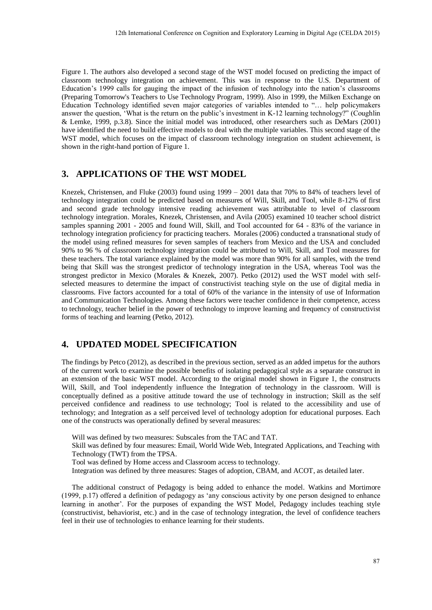Figure 1. The authors also developed a second stage of the WST model focused on predicting the impact of classroom technology integration on achievement. This was in response to the U.S. Department of Education's 1999 calls for gauging the impact of the infusion of technology into the nation's classrooms (Preparing Tomorrow's Teachers to Use Technology Program, 1999). Also in 1999, the Milken Exchange on Education Technology identified seven major categories of variables intended to "… help policymakers answer the question, 'What is the return on the public's investment in K-12 learning technology?" (Coughlin & Lemke, 1999, p.3.8). Since the initial model was introduced, other researchers such as DeMars (2001) have identified the need to build effective models to deal with the multiple variables. This second stage of the WST model, which focuses on the impact of classroom technology integration on student achievement, is shown in the right-hand portion of Figure 1.

### **3. APPLICATIONS OF THE WST MODEL**

Knezek, Christensen, and Fluke (2003) found using 1999 – 2001 data that 70% to 84% of teachers level of technology integration could be predicted based on measures of Will, Skill, and Tool, while 8-12% of first and second grade technology intensive reading achievement was attributable to level of classroom technology integration. Morales, Knezek, Christensen, and Avila (2005) examined 10 teacher school district samples spanning 2001 - 2005 and found Will, Skill, and Tool accounted for 64 - 83% of the variance in technology integration proficiency for practicing teachers. Morales (2006) conducted a transnational study of the model using refined measures for seven samples of teachers from Mexico and the USA and concluded 90% to 96 % of classroom technology integration could be attributed to Will, Skill, and Tool measures for these teachers. The total variance explained by the model was more than 90% for all samples, with the trend being that Skill was the strongest predictor of technology integration in the USA, whereas Tool was the strongest predictor in Mexico (Morales & Knezek, 2007). Petko (2012) used the WST model with selfselected measures to determine the impact of constructivist teaching style on the use of digital media in classrooms. Five factors accounted for a total of 60% of the variance in the intensity of use of Information and Communication Technologies. Among these factors were teacher confidence in their competence, access to technology, teacher belief in the power of technology to improve learning and frequency of constructivist forms of teaching and learning (Petko, 2012).

## **4. UPDATED MODEL SPECIFICATION**

The findings by Petco (2012), as described in the previous section, served as an added impetus for the authors of the current work to examine the possible benefits of isolating pedagogical style as a separate construct in an extension of the basic WST model. According to the original model shown in Figure 1, the constructs Will, Skill, and Tool independently influence the Integration of technology in the classroom. Will is conceptually defined as a positive attitude toward the use of technology in instruction; Skill as the self perceived confidence and readiness to use technology; Tool is related to the accessibility and use of technology; and Integration as a self perceived level of technology adoption for educational purposes. Each one of the constructs was operationally defined by several measures:

Will was defined by two measures: Subscales from the TAC and TAT.

Skill was defined by four measures: Email, World Wide Web, Integrated Applications, and Teaching with Technology (TWT) from the TPSA.

Tool was defined by Home access and Classroom access to technology.

Integration was defined by three measures: Stages of adoption, CBAM, and ACOT, as detailed later.

The additional construct of Pedagogy is being added to enhance the model. Watkins and Mortimore (1999, p.17) offered a definition of pedagogy as 'any conscious activity by one person designed to enhance learning in another'. For the purposes of expanding the WST Model, Pedagogy includes teaching style (constructivist, behaviorist, etc.) and in the case of technology integration, the level of confidence teachers feel in their use of technologies to enhance learning for their students.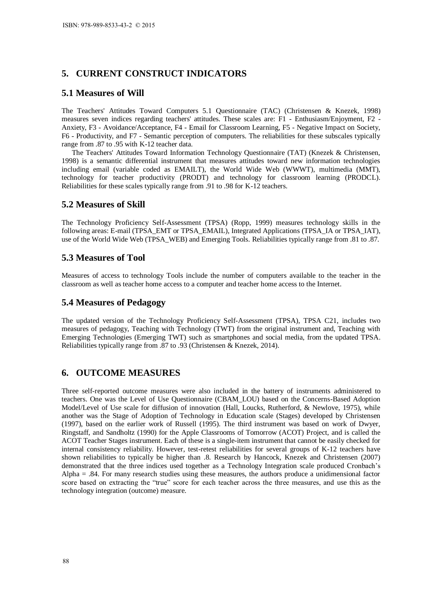## **5. CURRENT CONSTRUCT INDICATORS**

#### **5.1 Measures of Will**

The Teachers' Attitudes Toward Computers 5.1 Questionnaire (TAC) (Christensen & Knezek, 1998) measures seven indices regarding teachers' attitudes. These scales are: F1 - Enthusiasm/Enjoyment, F2 - Anxiety, F3 - Avoidance/Acceptance, F4 - Email for Classroom Learning, F5 - Negative Impact on Society, F6 - Productivity, and F7 - Semantic perception of computers. The reliabilities for these subscales typically range from .87 to .95 with K-12 teacher data.

The Teachers' Attitudes Toward Information Technology Questionnaire (TAT) (Knezek & Christensen, 1998) is a semantic differential instrument that measures attitudes toward new information technologies including email (variable coded as EMAILT), the World Wide Web (WWWT), multimedia (MMT), technology for teacher productivity (PRODT) and technology for classroom learning (PRODCL). Reliabilities for these scales typically range from .91 to .98 for K-12 teachers.

#### **5.2 Measures of Skill**

The Technology Proficiency Self-Assessment (TPSA) (Ropp, 1999) measures technology skills in the following areas: E-mail (TPSA\_EMT or TPSA\_EMAIL), Integrated Applications (TPSA\_IA or TPSA\_IAT), use of the World Wide Web (TPSA\_WEB) and Emerging Tools. Reliabilities typically range from .81 to .87.

#### **5.3 Measures of Tool**

Measures of access to technology Tools include the number of computers available to the teacher in the classroom as well as teacher home access to a computer and teacher home access to the Internet.

#### **5.4 Measures of Pedagogy**

The updated version of the Technology Proficiency Self-Assessment (TPSA), TPSA C21, includes two measures of pedagogy, Teaching with Technology (TWT) from the original instrument and, Teaching with Emerging Technologies (Emerging TWT) such as smartphones and social media, from the updated TPSA. Reliabilities typically range from .87 to .93 (Christensen & Knezek, 2014).

### **6. OUTCOME MEASURES**

Three self-reported outcome measures were also included in the battery of instruments administered to teachers. One was the Level of Use Questionnaire (CBAM\_LOU) based on the Concerns-Based Adoption Model/Level of Use scale for diffusion of innovation (Hall, Loucks, Rutherford, & Newlove, 1975), while another was the Stage of Adoption of Technology in Education scale (Stages) developed by Christensen (1997), based on the earlier work of Russell (1995). The third instrument was based on work of Dwyer, Ringstaff, and Sandholtz (1990) for the Apple Classrooms of Tomorrow (ACOT) Project, and is called the ACOT Teacher Stages instrument. Each of these is a single-item instrument that cannot be easily checked for internal consistency reliability. However, test-retest reliabilities for several groups of K-12 teachers have shown reliabilities to typically be higher than .8. Research by Hancock, Knezek and Christensen (2007) demonstrated that the three indices used together as a Technology Integration scale produced Cronbach's Alpha = .84. For many research studies using these measures, the authors produce a unidimensional factor score based on extracting the "true" score for each teacher across the three measures, and use this as the technology integration (outcome) measure. ISBN: 978-989-8533-43-2 © 2015<br>
S. CURRENT CONST<br>
5.1 Measures of Will<br>
The Teachers' Attitudes Towa<br>
measures seven indices regarding<br>
Anxiety, F3 - Avoidance/Accept<br>
Horse regard on 87 to 95 with K-12<br>
The Teachers' Atti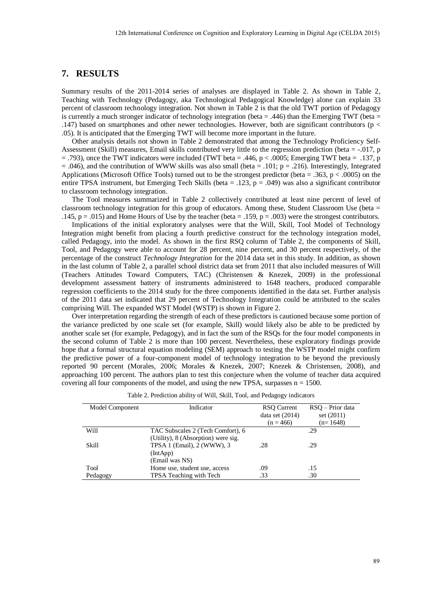#### **7. RESULTS**

Summary results of the 2011-2014 series of analyses are displayed in Table 2. As shown in Table 2, Teaching with Technology (Pedagogy, aka Technological Pedagogical Knowledge) alone can explain 33 percent of classroom technology integration. Not shown in Table 2 is that the old TWT portion of Pedagogy is currently a much stronger indicator of technology integration (beta = .446) than the Emerging TWT (beta = .147) based on smartphones and other newer technologies. However, both are significant contributors (p < .05). It is anticipated that the Emerging TWT will become more important in the future.

Other analysis details not shown in Table 2 demonstrated that among the Technology Proficiency Self-Assessment (Skill) measures, Email skills contributed very little to the regression prediction (beta = -.017, p  $=$  .793), once the TWT indicators were included (TWT beta = .446, p < .0005; Emerging TWT beta = .137, p  $= .046$ ), and the contribution of WWW skills was also small (beta  $= .101$ ; p  $= .216$ ). Interestingly, Integrated Applications (Microsoft Office Tools) turned out to be the strongest predictor (beta = .363,  $p < .0005$ ) on the entire TPSA instrument, but Emerging Tech Skills (beta = .123,  $p = .049$ ) was also a significant contributor to classroom technology integration.

The Tool measures summarized in Table 2 collectively contributed at least nine percent of level of classroom technology integration for this group of educators. Among these, Student Classroom Use (beta = .145,  $p = .015$ ) and Home Hours of Use by the teacher (beta = .159,  $p = .003$ ) were the strongest contributors.

Implications of the initial exploratory analyses were that the Will, Skill, Tool Model of Technology Integration might benefit from placing a fourth predictive construct for the technology integration model, called Pedagogy, into the model. As shown in the first RSQ column of Table 2, the components of Skill, Tool, and Pedagogy were able to account for 28 percent, nine percent, and 30 percent respectively, of the percentage of the construct *Technology Integration* for the 2014 data set in this study. In addition, as shown in the last column of Table 2, a parallel school district data set from 2011 that also included measures of Will (Teachers Attitudes Toward Computers, TAC) (Christensen & Knezek, 2009) in the professional development assessment battery of instruments administered to 1648 teachers, produced comparable regression coefficients to the 2014 study for the three components identified in the data set. Further analysis of the 2011 data set indicated that 29 percent of Technology Integration could be attributed to the scales comprising Will. The expanded WST Model (WSTP) is shown in Figure 2.

Over interpretation regarding the strength of each of these predictors is cautioned because some portion of the variance predicted by one scale set (for example, Skill) would likely also be able to be predicted by another scale set (for example, Pedagogy), and in fact the sum of the RSQs for the four model components in the second column of Table 2 is more than 100 percent. Nevertheless, these exploratory findings provide hope that a formal structural equation modeling (SEM) approach to testing the WSTP model might confirm the predictive power of a four-component model of technology integration to be beyond the previously reported 90 percent (Morales, 2006; Morales & Knezek, 2007; Knezek & Christensen, 2008), and approaching 100 percent. The authors plan to test this conjecture when the volume of teacher data acquired covering all four components of the model, and using the new TPSA, surpasses  $n = 1500$ .

| Model Component | Indicator                           | <b>RSO</b> Current<br>data set $(2014)$<br>$(n = 466)$ | RSO - Prior data<br>set $(2011)$<br>$(n=1648)$ |
|-----------------|-------------------------------------|--------------------------------------------------------|------------------------------------------------|
| Will            | TAC Subscales 2 (Tech Comfort), 6   |                                                        | .29                                            |
|                 | (Utility), 8 (Absorption) were sig. |                                                        |                                                |
| Skill           | TPSA 1 (Email), 2 (WWW), 3          | .28                                                    | .29                                            |
|                 | (IntApp)                            |                                                        |                                                |
|                 | (Email was NS)                      |                                                        |                                                |
| Tool            | Home use, student use, access       | .09                                                    | .15                                            |
| Pedagogy        | TPSA Teaching with Tech             | .33                                                    | .30                                            |

Table 2. Prediction ability of Will, Skill, Tool, and Pedagogy indicators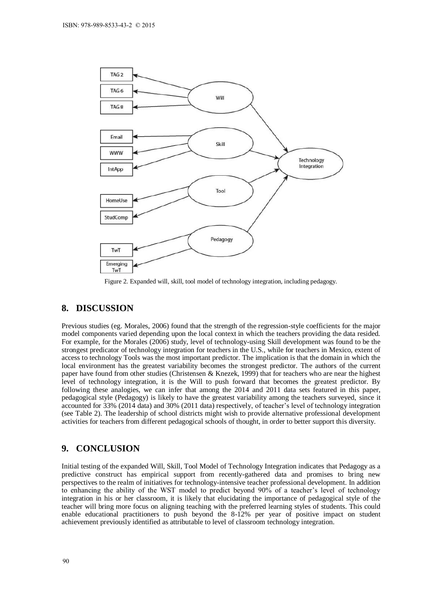

Figure 2. Expanded will, skill, tool model of technology integration, including pedagogy.

### **8. DISCUSSION**

Previous studies (eg. Morales, 2006) found that the strength of the regression-style coefficients for the major model components varied depending upon the local context in which the teachers providing the data resided. For example, for the Morales (2006) study, level of technology-using Skill development was found to be the strongest predicator of technology integration for teachers in the U.S., while for teachers in Mexico, extent of access to technology Tools was the most important predictor. The implication is that the domain in which the local environment has the greatest variability becomes the strongest predictor. The authors of the current paper have found from other studies (Christensen & Knezek, 1999) that for teachers who are near the highest level of technology integration, it is the Will to push forward that becomes the greatest predictor. By following these analogies, we can infer that among the 2014 and 2011 data sets featured in this paper, pedagogical style (Pedagogy) is likely to have the greatest variability among the teachers surveyed, since it accounted for 33% (2014 data) and 30% (2011 data) respectively, of teacher's level of technology integration (see Table 2). The leadership of school districts might wish to provide alternative professional development activities for teachers from different pedagogical schools of thought, in order to better support this diversity.

#### **9. CONCLUSION**

Initial testing of the expanded Will, Skill, Tool Model of Technology Integration indicates that Pedagogy as a predictive construct has empirical support from recently-gathered data and promises to bring new perspectives to the realm of initiatives for technology-intensive teacher professional development. In addition to enhancing the ability of the WST model to predict beyond 90% of a teacher's level of technology integration in his or her classroom, it is likely that elucidating the importance of pedagogical style of the teacher will bring more focus on aligning teaching with the preferred learning styles of students. This could enable educational practitioners to push beyond the 8-12% per year of positive impact on student achievement previously identified as attributable to level of classroom technology integration.